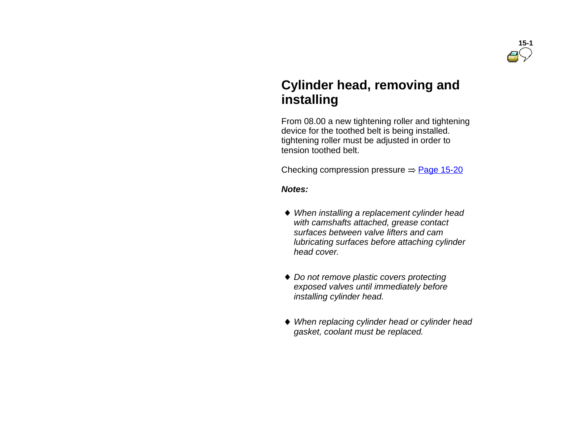

## **Cylinder head, removing and installing**

 From 08.00 a new tightening roller and tightening device for the toothed belt is being installed. tightening roller must be adjusted in order to tension toothed belt.

Checking compression pressure  $\Rightarrow$  Page 15-20

*Notes:*

- *When installing <sup>a</sup> replacement cylinder head with camshafts attached, grease contact surfaces between valve lifters and cam lubricating surfaces before attaching cylinder head cover.*
- *Do not remove plastic covers protecting exposed valves until immediately before installing cylinder head.*
- *When replacing cylinder head or cylinder head gasket, coolant must be replaced.*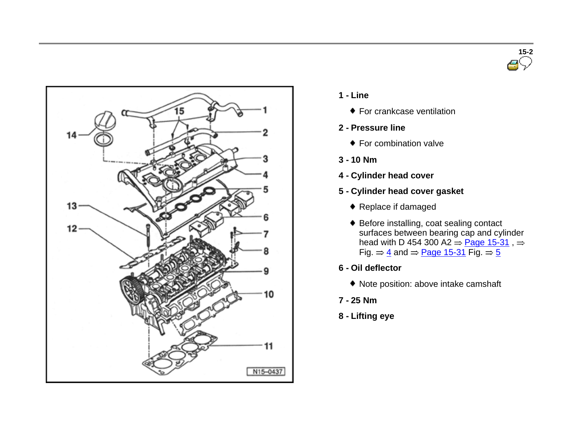



- **1 - Line**
	- ◆ For crankcase ventilation
- **2 - Pressure line**
	- ◆ For combination valve
- **3 - 10 Nm**
- **4 - Cylinder head cover**
- **5 - Cylinder head cover gasket**
	- Replace if damaged
	- Before installing, coat sealing contact surfaces between bearing cap and cylinder head with D 454 300 A2  $\Rightarrow$  Page 15-31 , Fig.  $\Rightarrow$  4 and  $\Rightarrow$  Page 15-31 Fig.  $\Rightarrow$  5
- **6 - Oil deflector**
	- Note position: above intake camshaft
- **7 - 25 Nm**
- **8 - Lifting eye**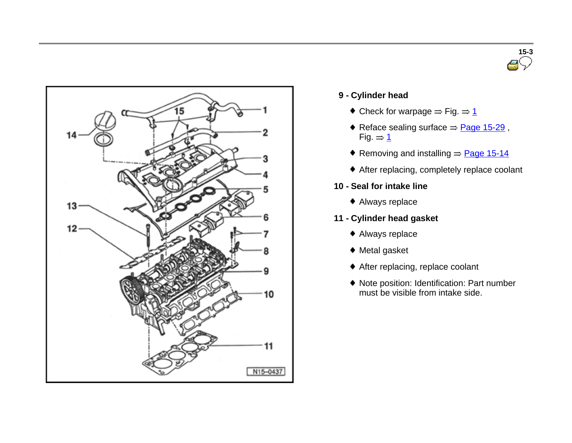



## **9 - Cylinder head**

- $\bullet$  Check for warpage  $\Rightarrow$  Fig.  $\Rightarrow$  1
- Reface sealing surface  $=$  Page 15-29, Fig.  $= 1$
- Removing and installing  $=$  Page 15-14
- After replacing, completely replace coolant
- **10 - Seal for intake line**
	- Always replace
- **11 - Cylinder head gasket**
	- Always replace
	- Metal gasket
	- After replacing, replace coolant
	- Note position: Identification: Part number must be visible from intake side.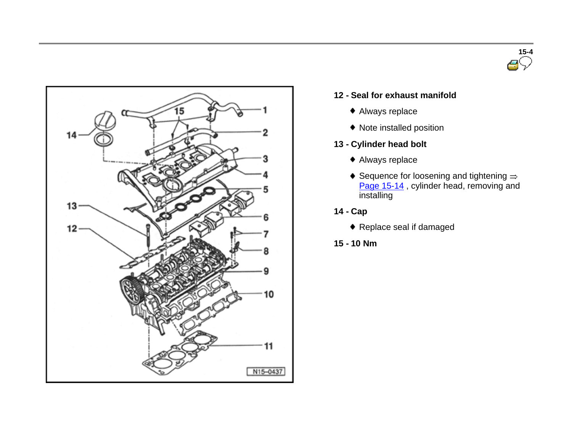



#### **12 - Seal for exhaust manifold**

- Always replace
- Note installed position
- **13 - Cylinder head bolt**
	- Always replace
	- $\bullet$  Sequence for loosening and tightening  $\Rightarrow$ Page 15-14, cylinder head, removing and installing
- **14 - Cap**
	- ◆ Replace seal if damaged
- **15 - 10 Nm**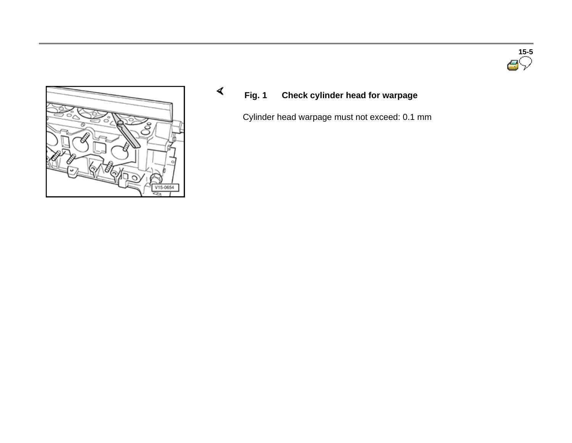



**Fig. 1 Check cylinder head for warpage**

 $\blacktriangleleft$ 

Cylinder head warpage must not exceed: 0.1 mm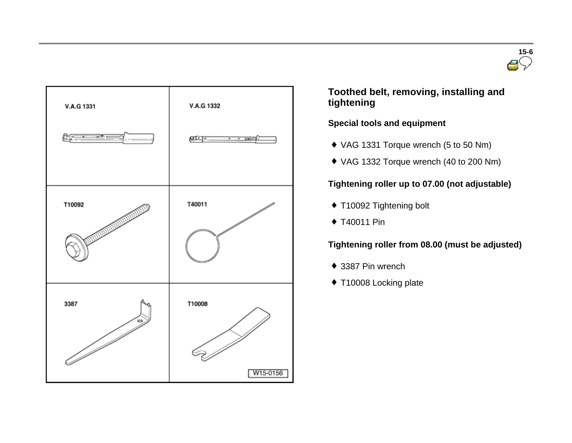



 **Toothed belt, removing, installing and tightening**

**Special tools and equipment** 

- VAG 1331 Torque wrench (5 to 50 Nm)
- VAG 1332 Torque wrench (40 to 200 Nm)

## **Tightening roller up to 07.00 (not adjustable)**

- T10092 Tightening bolt
- T40011 Pin

## **Tightening roller from 08.00 (must be adjusted)**

- ◆ 3387 Pin wrench
- ◆ T10008 Locking plate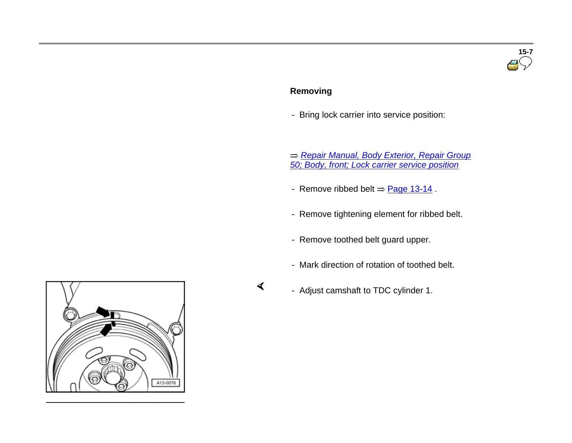## **15-7**

## **Removing**

 $\blacktriangleleft$ 

- Bring lock carrier into service position:

 *Repair Manual, Body Exterior, Repair Group 50; Body, front; Lock carrier service position*

- Remove ribbed belt  $\Rightarrow$  Page 13-14.
- Remove tightening element for ribbed belt.
- Remove toothed belt guard upper.
- Mark direction of rotation of toothed belt.
- Adjust camshaft to TDC cylinder 1.

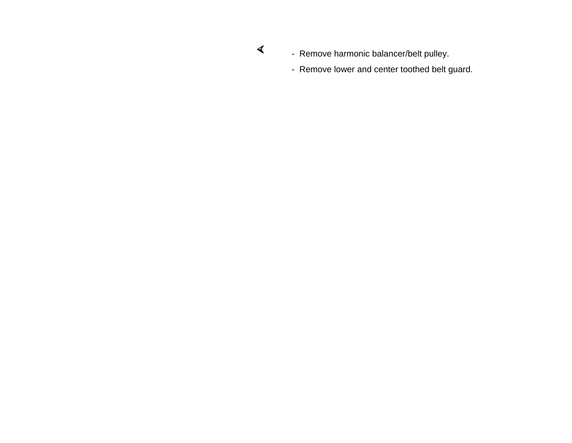- $\blacktriangleleft$
- Remove harmonic balancer/belt pulley.
- Remove lower and center toothed belt guard.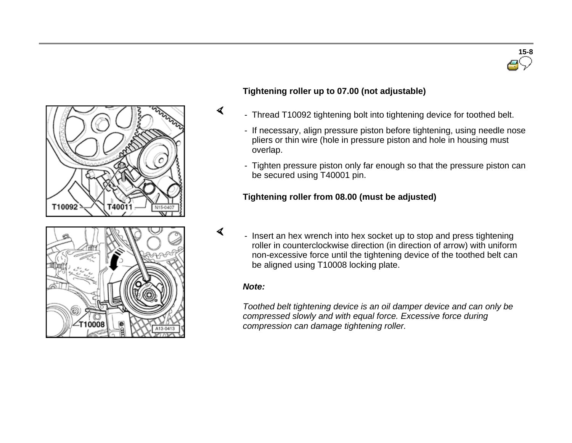

## **Tightening roller up to 07.00 (not adjustable)**

- Thread T10092 tightening bolt into tightening device for toothed belt.
- If necessary, align pressure piston before tightening, using needle nose pliers or thin wire (hole in pressure piston and hole in housing must overlap.
- Tighten pressure piston only far enough so that the pressure piston can be secured using T40001 pin.

## **Tightening roller from 08.00 (must be adjusted)**

- Insert an hex wrench into hex socket up to stop and press tightening roller in counterclockwise direction (in direction of arrow) with uniform non-excessive force until the tightening device of the toothed belt can be aligned using T10008 locking plate.

#### *Note:*

 $\blacktriangleleft$ 

 $\blacktriangleleft$ 

*Toothed belt tightening device is an oil damper device and can only be compressed slowly and with equal force. Excessive force during compression can damage tightening roller.*

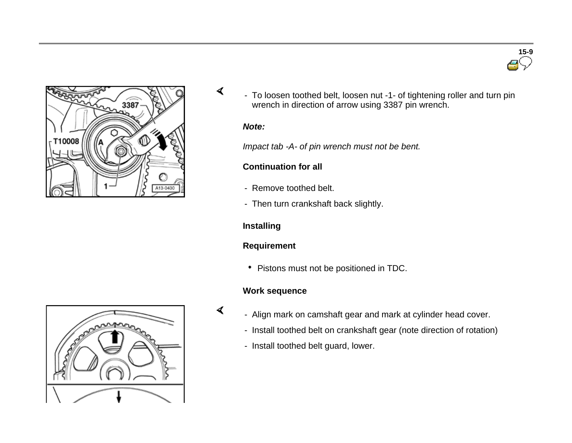



- To loosen toothed belt, loosen nut -1- of tightening roller and turn pin wrench in direction of arrow using 3387 pin wrench.

#### *Note:*

 $\blacktriangleleft$ 

*Impact tab -A- of pin wrench must not be bent.*

## **Continuation for all**

- Remove toothed belt.
- Then turn crankshaft back slightly.

## **Installing**

## **Requirement**

• Pistons must not be positioned in TDC.

## **Work sequence**

- $\blacktriangleleft$
- Align mark on camshaft gear and mark at cylinder head cover.
- Install toothed belt on crankshaft gear (note direction of rotation)
- Install toothed belt guard, lower.

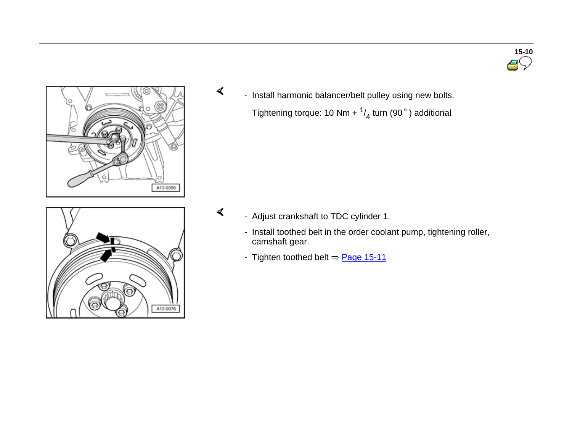





- Adjust crankshaft to TDC cylinder 1.

 $\blacktriangleleft$ 

- Install toothed belt in the order coolant pump, tightening roller, camshaft gear.
- Tighten toothed belt  $\Rightarrow$  Page 15-11

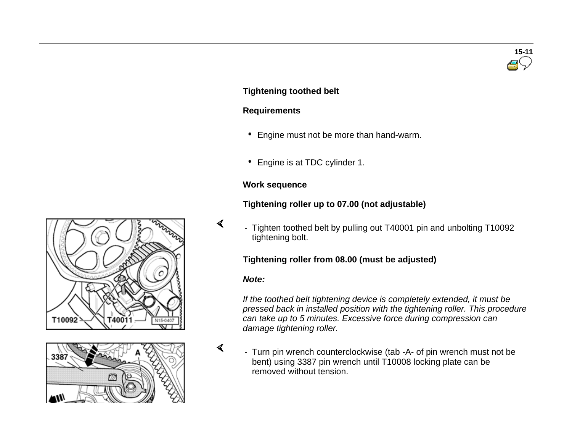## **Tightening toothed belt**

#### **Requirements**

- Engine must not be more than hand-warm.
- Engine is at TDC cylinder 1.

## **Work sequence**

## **Tightening roller up to 07.00 (not adjustable)**

- Tighten toothed belt by pulling out T40001 pin and unbolting T10092 tightening bolt.

## **Tightening roller from 08.00 (must be adjusted)**

#### *Note:*

 $\blacktriangleleft$ 

 $\blacktriangleleft$ 

*If the toothed belt tightening device is completely extended, it must be pressed back in installed position with the tightening roller. This procedure can take up to 5 minutes. Excessive force during compression can damage tightening roller.*

 - Turn pin wrench counterclockwise (tab -A- of pin wrench must not be bent) using 3387 pin wrench until T10008 locking plate can be removed without tension.





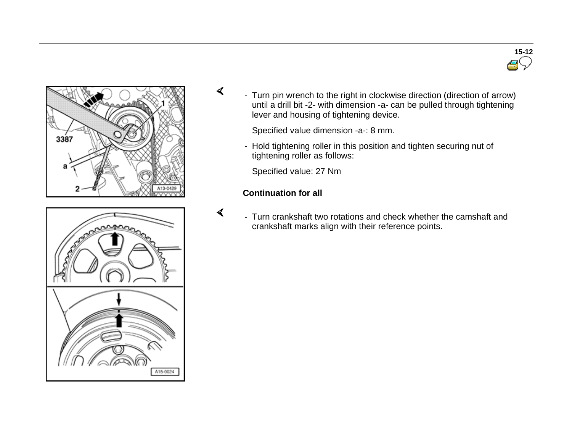





- Turn pin wrench to the right in clockwise direction (direction of arrow) until a drill bit -2- with dimension -a- can be pulled through tightening lever and housing of tightening device.

Specified value dimension -a-: 8 mm.

- Hold tightening roller in this position and tighten securing nut of tightening roller as follows:

Specified value: 27 Nm

## **Continuation for all**

 $\blacktriangleleft$ 

 $\blacktriangleleft$ 

 - Turn crankshaft two rotations and check whether the camshaft and crankshaft marks align with their reference points.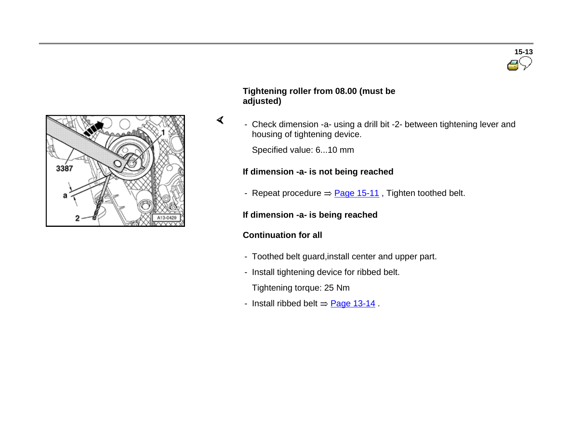

#### **Tightening roller from 08.00 (must be adjusted)**

- Check dimension -a- using a drill bit -2- between tightening lever and housing of tightening device.

Specified value: 6...10 mm

## **If dimension -a- is not being reached**

- Repeat procedure  $\Rightarrow$  Page 15-11, Tighten toothed belt.

## **If dimension -a- is being reached**

## **Continuation for all**

 $\blacktriangleleft$ 

- Toothed belt guard,install center and upper part.
- Install tightening device for ribbed belt.

Tightening torque: 25 Nm

- Install ribbed belt  $\Rightarrow$  Page 13-14.

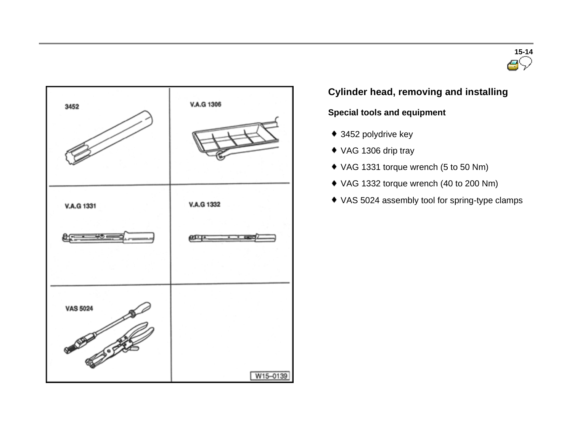



## **Cylinder head, removing and installing**

## **Special tools and equipment**

- ◆ 3452 polydrive key
- ◆ VAG 1306 drip tray
- VAG 1331 torque wrench (5 to 50 Nm)
- VAG 1332 torque wrench (40 to 200 Nm)
- VAS 5024 assembly tool for spring-type clamps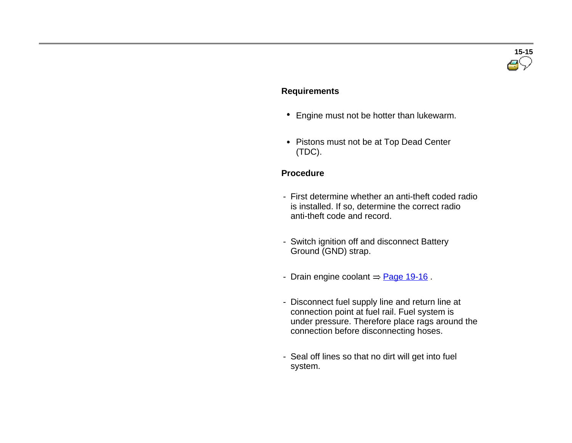# **15-15**

#### **Requirements**

- Engine must not be hotter than lukewarm.
- Pistons must not be at Top Dead Center (TDC).

#### **Procedure**

- First determine whether an anti-theft coded radio is installed. If so, determine the correct radio anti-theft code and record.
- Switch ignition off and disconnect Battery Ground (GND) strap.
- Drain engine coolant  $\Rightarrow$  Page 19-16.
- Disconnect fuel supply line and return line at connection point at fuel rail. Fuel system is under pressure. Therefore place rags around the connection before disconnecting hoses.
- Seal off lines so that no dirt will get into fuel system.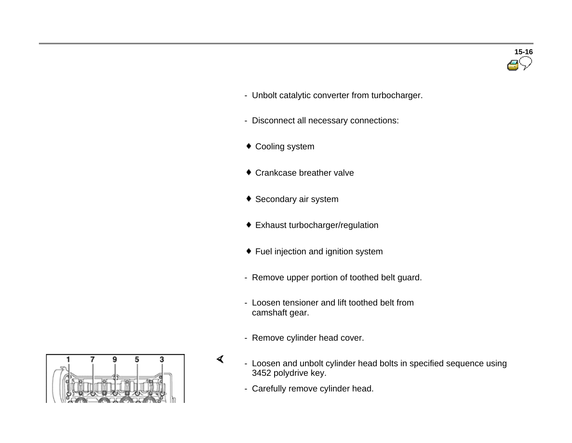- Unbolt catalytic converter from turbocharger.
- Disconnect all necessary connections:
- Cooling system
- ◆ Crankcase breather valve
- ◆ Secondary air system
- Exhaust turbocharger/regulation
- Fuel injection and ignition system
- Remove upper portion of toothed belt guard.
- Loosen tensioner and lift toothed belt from camshaft gear.
- Remove cylinder head cover.
- $\blacktriangleleft$  - Loosen and unbolt cylinder head bolts in specified sequence using 3452 polydrive key.
	- Carefully remove cylinder head.

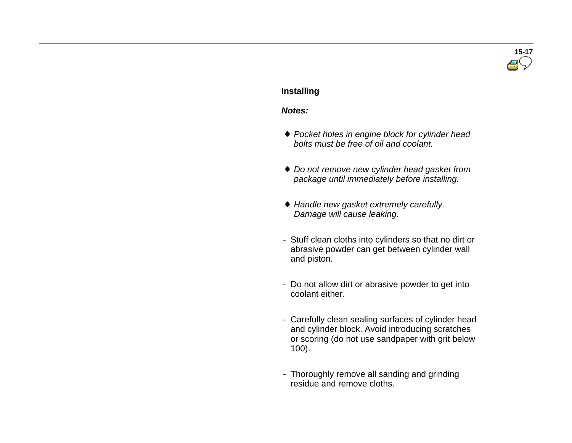## **15-17**

#### **Installing**

#### *Notes:*

- *Pocket holes in engine block for cylinder head bolts must be free of oil and coolant.*
- *Do not remove new cylinder head gasket from package until immediately before installing.*
- *Handle new gasket extremely carefully. Damage will cause leaking.*
- Stuff clean cloths into cylinders so that no dirt or abrasive powder can get between cylinder wall and piston.
- Do not allow dirt or abrasive powder to get into coolant either.
- Carefully clean sealing surfaces of cylinder head and cylinder block. Avoid introducing scratches or scoring (do not use sandpaper with grit below 100).
- Thoroughly remove all sanding and grinding residue and remove cloths.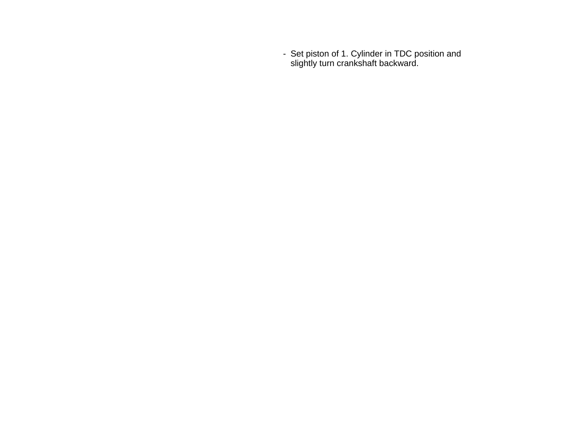- Set piston of 1. Cylinder in TDC position and slightly turn crankshaft backward.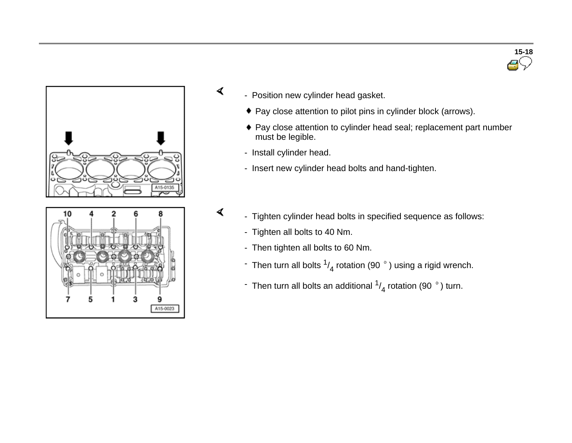

3

A15-0023

- Position new cylinder head gasket.
	- ◆ Pay close attention to pilot pins in cylinder block (arrows).
	- ♦ Pay close attention to cylinder head seal; replacement part number must be legible.
	- Install cylinder head.

 $\blacktriangleleft$ 

 $\blacktriangleleft$ 

- Insert new cylinder head bolts and hand-tighten.
- Tighten cylinder head bolts in specified sequence as follows:
	- Tighten all bolts to 40 Nm.
	- Then tighten all bolts to 60 Nm.
	- Then turn all bolts  $\frac{1}{4}$  rotation (90  $\degree$  ) using a rigid wrench.
	- $\overline{\phantom{a}}$  Then turn all bolts an additional  $\frac{1}{4}$  rotation (90  $\degree$  ) turn.

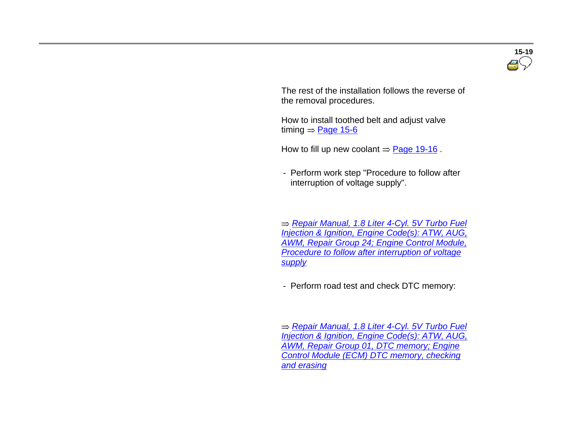

 The rest of the installation follows the reverse of the removal procedures.

 How to install toothed belt and adjust valve timing  $=$  Page 15-6

How to fill up new coolant  $=$  Page 19-16.

- Perform work step "Procedure to follow after interruption of voltage supply".

 *Repair Manual, 1.8 Liter 4-Cyl. 5V Turbo Fuel Injection & Ignition, Engine Code(s): ATW, AUG, AWM, Repair Group 24; Engine Control Module, Procedure to follow after interruption of voltage supply*

- Perform road test and check DTC memory:

 *Repair Manual, 1.8 Liter 4-Cyl. 5V Turbo Fuel Injection & Ignition, Engine Code(s): ATW, AUG, AWM, Repair Group 01, DTC memory; Engine Control Module (ECM) DTC memory, checking and erasing*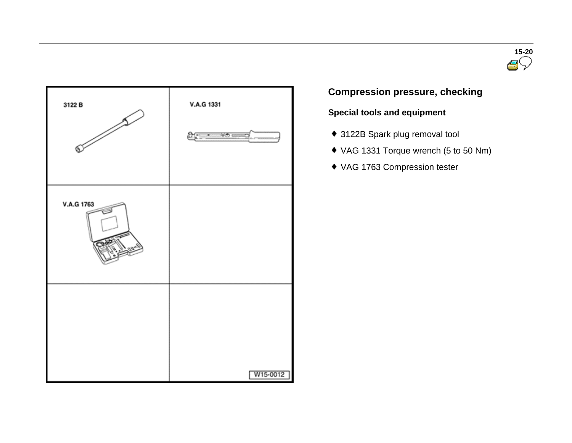



## **Compression pressure, checking**

## **Special tools and equipment**

- 3122B Spark plug removal tool
- VAG 1331 Torque wrench (5 to 50 Nm)
- VAG 1763 Compression tester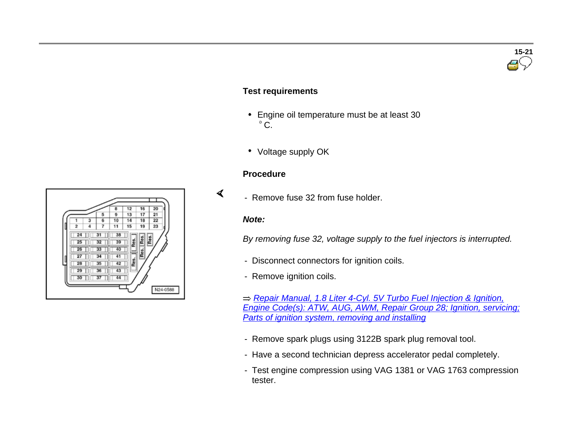#### **Test requirements**

- Engine oil temperature must be at least 30  $^{\circ}$  C.
- Voltage supply OK

#### **Procedure**

- Remove fuse 32 from fuse holder.

#### *Note:*

 $\blacktriangleleft$ 

*By removing fuse 32, voltage supply to the fuel injectors is interrupted.*

- Disconnect connectors for ignition coils.
- Remove ignition coils.

*Repair Manual, 1.8 Liter 4-Cyl. 5V Turbo Fuel Injection & Ignition, Engine Code(s): ATW, AUG, AWM, Repair Group 28; Ignition, servicing; Parts of ignition system, removing and installing*

- Remove spark plugs using 3122B spark plug removal tool.
- Have a second technician depress accelerator pedal completely.
- Test engine compression using VAG 1381 or VAG 1763 compression tester.